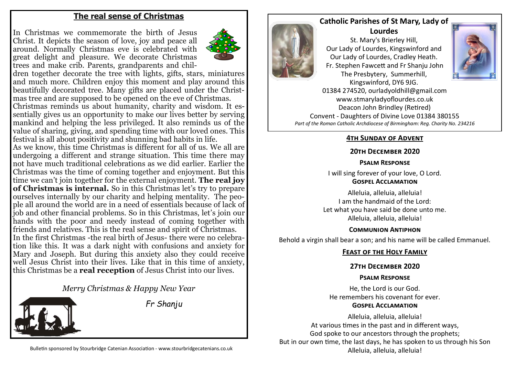# **The real sense of Christmas**

In Christmas we commemorate the birth of Jesus Christ. It depicts the season of love, joy and peace all around. Normally Christmas eve is celebrated with great delight and pleasure. We decorate Christmas trees and make crib. Parents, grandparents and chil-



dren together decorate the tree with lights, gifts, stars, miniatures and much more. Children enjoy this moment and play around this beautifully decorated tree. Many gifts are placed under the Christmas tree and are supposed to be opened on the eve of Christmas. Christmas reminds us about humanity, charity and wisdom. It essentially gives us an opportunity to make our lives better by serving mankind and helping the less privileged. It also reminds us of the value of sharing, giving, and spending time with our loved ones. This festival is all about positivity and shunning bad habits in life.

As we know, this time Christmas is different for all of us. We all are undergoing a different and strange situation. This time there may not have much traditional celebrations as we did earlier. Earlier the Christmas was the time of coming together and enjoyment. But this time we can't join together for the external enjoyment. **The real joy of Christmas is internal.** So in this Christmas let's try to prepare ourselves internally by our charity and helping mentality. The people all around the world are in a need of essentials because of lack of job and other financial problems. So in this Christmas, let's join our hands with the poor and needy instead of coming together with friends and relatives. This is the real sense and spirit of Christmas. In the first Christmas -the real birth of Jesus- there were no celebration like this. It was a dark night with confusions and anxiety for Mary and Joseph. But during this anxiety also they could receive well Jesus Christ into their lives. Like that in this time of anxiety, this Christmas be a **real reception** of Jesus Christ into our lives.

*Merry Christmas & Happy New Year*



*Fr Shanju* 



## **Catholic Parishes of St Mary, Lady of Lourdes**

St. Mary's Brierley Hill, Our Lady of Lourdes, Kingswinford and Our Lady of Lourdes, Cradley Heath. Fr. Stephen Fawcett and Fr Shanju John The Presbytery, Summerhill, Kingswinford, DY6 9JG.



01384 274520, ourladyoldhill@gmail.com www.stmaryladyoflourdes.co.uk Deacon John Brindley (Retired) Convent - Daughters of Divine Love 01384 380155 *Part of the Roman Catholic Archdiocese of Birmingham: Reg. Charity No. 234216*

# **4th Sunday of Advent**

# **20th December 2020**

## **Psalm Response**

I will sing forever of your love, O Lord. **Gospel Acclamation**

Alleluia, alleluia, alleluia! I am the handmaid of the Lord: Let what you have said be done unto me. Alleluia, alleluia, alleluia!

### **Communion Antiphon**

Behold a virgin shall bear a son; and his name will be called Emmanuel.

# **Feast of the Holy Family**

# **27th December 2020**

# **Psalm Response**

He, the Lord is our God. He remembers his covenant for ever.

### **Gospel Acclamation**

Alleluia, alleluia, alleluia! At various times in the past and in different ways, God spoke to our ancestors through the prophets; But in our own time, the last days, he has spoken to us through his Son Alleluia, alleluia, alleluia!